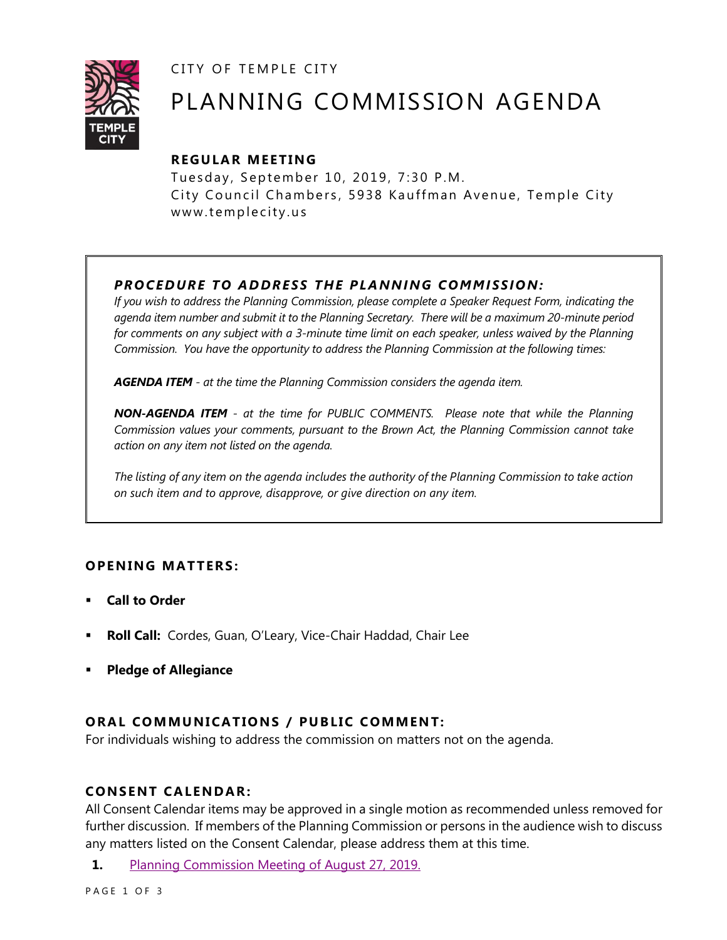CITY OF TEMPLE CITY



# PLANNING COMMISSION AGENDA

# **R EGULA R MEE TING**

Tuesday, September 10, 2019, 7:30 P.M. City Council Chambers, 5938 Kauffman Avenue, Temple City www.templecity.us

# *PRO CE DURE TO ADDRE SS THE P LA NNI NG COMM I SSION:*

*If you wish to address the Planning Commission, please complete a Speaker Request Form, indicating the agenda item number and submit it to the Planning Secretary. There will be a maximum 20-minute period*  for comments on any subject with a 3-minute time limit on each speaker, unless waived by the Planning *Commission. You have the opportunity to address the Planning Commission at the following times:*

*AGENDA ITEM - at the time the Planning Commission considers the agenda item.*

*NON-AGENDA ITEM - at the time for PUBLIC COMMENTS. Please note that while the Planning Commission values your comments, pursuant to the Brown Act, the Planning Commission cannot take action on any item not listed on the agenda.*

*The listing of any item on the agenda includes the authority of the Planning Commission to take action on such item and to approve, disapprove, or give direction on any item.*

## **OPENING MATTERS:**

- **Call to Order**
- **Roll Call:** Cordes, Guan, O'Leary, Vice-Chair Haddad, Chair Lee
- **Pledge of Allegiance**

## **ORAL COMMUNICATIONS / PUBLIC COMMENT:**

For individuals wishing to address the commission on matters not on the agenda.

#### **CONSENT CA LENDAR:**

All Consent Calendar items may be approved in a single motion as recommended unless removed for further discussion. If members of the Planning Commission or persons in the audience wish to discuss any matters listed on the Consent Calendar, please address them at this time.

**1.** [Planning Commission Meeting of August 27, 2019.](https://www.ci.temple-city.ca.us/DocumentCenter/View/13095/8-27-19-Minutes)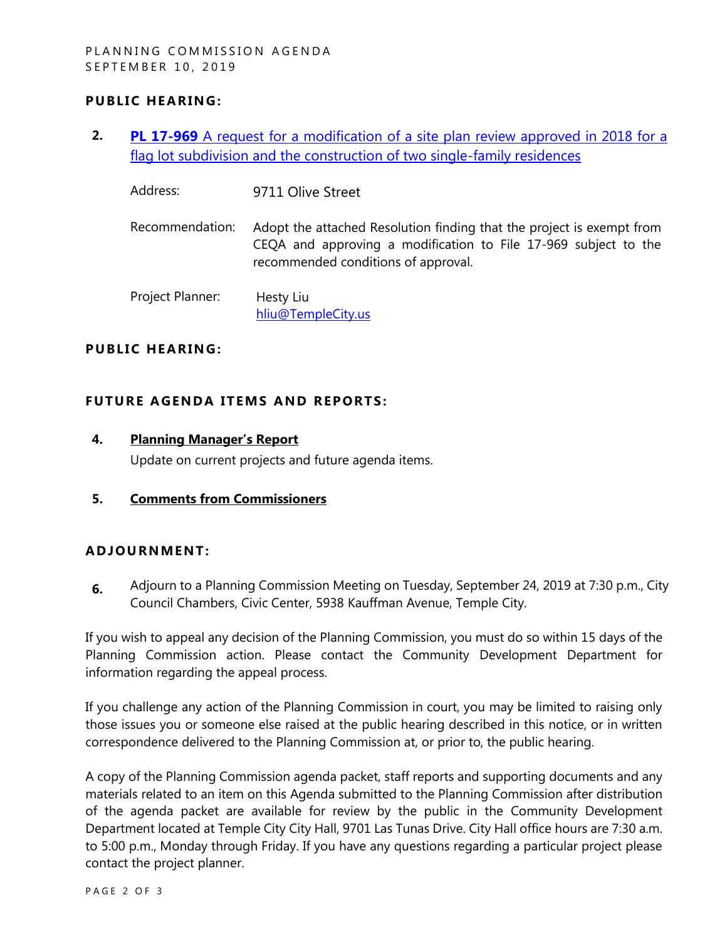### **PUBLIC HEARING:**

- **2. PL 17-969** [A request for a modification of a site plan review approved in 2018 for a](https://www.ci.temple-city.ca.us/DocumentCenter/View/13094/PL17-969-9711-Olive-attachment-1)  [flag lot subdivision and the construction of two single-family residences](https://www.ci.temple-city.ca.us/DocumentCenter/View/13094/PL17-969-9711-Olive-attachment-1)
	- Address: 9711 Olive Street Recommendation: Adopt the attached Resolution finding that the project is exempt from CEQA and approving a modification to File 17-969 subject to the recommended conditions of approval.

Project Planner: Hesty Liu [hliu@TempleCity.us](mailto:hliu@TempleCity.us)

#### **PUBLIC HEARING:**

#### **FUTURE AGENDA ITEMS AND REPORTS:**

**4. Planning Manager's Report**

Update on current projects and future agenda items.

**5. Comments from Commissioners**

#### **ADJOU RNMENT:**

**6.** Adjourn to a Planning Commission Meeting on Tuesday, September 24, 2019 at 7:30 p.m., City Council Chambers, Civic Center, 5938 Kauffman Avenue, Temple City.

If you wish to appeal any decision of the Planning Commission, you must do so within 15 days of the Planning Commission action. Please contact the Community Development Department for information regarding the appeal process.

If you challenge any action of the Planning Commission in court, you may be limited to raising only those issues you or someone else raised at the public hearing described in this notice, or in written correspondence delivered to the Planning Commission at, or prior to, the public hearing.

A copy of the Planning Commission agenda packet, staff reports and supporting documents and any materials related to an item on this Agenda submitted to the Planning Commission after distribution of the agenda packet are available for review by the public in the Community Development Department located at Temple City City Hall, 9701 Las Tunas Drive. City Hall office hours are 7:30 a.m. to 5:00 p.m., Monday through Friday. If you have any questions regarding a particular project please contact the project planner.